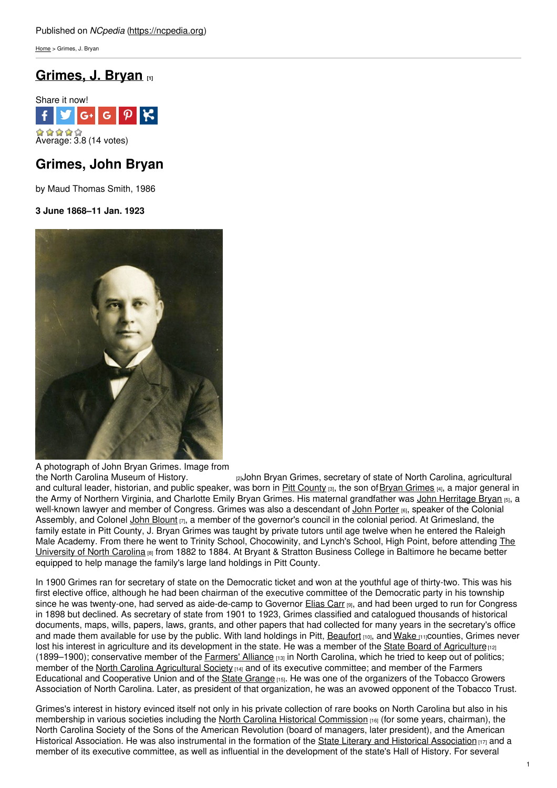[Home](https://ncpedia.org/) > Grimes, J. Bryan

## **[Grimes,](https://ncpedia.org/biography/grimes-john-bryan) J. Bryan [1]**



# **Grimes, John Bryan**

by Maud Thomas Smith, 1986

**3 June 1868–11 Jan. 1923**



A photograph of John Bryan Grimes. Image from

re John Bryan Grimes, secretary of state of North Carolina, agricultural and cultural leader, historian, and public speaker, was born in Pitt [County](https://ncpedia.org/geography/pitt) [3], the son of Bryan [Grimes](https://ncpedia.org/biography/grimes-bryan) [4], a major general in the Army of Northern Virginia, and Charlotte Emily Bryan Grimes. His maternal grandfather was John [Herritage](https://ncpedia.org/biography/bryan-john-herritage) Bryan [5], a well-known lawyer and member of Congress. Grimes was also a descendant of John [Porter](https://ncpedia.org/biography/porter-john) [6], speaker of the Colonial Assembly, and Colonel John [Blount](https://ncpedia.org/biography/blount-john)  $_{[7]}$ , a member of the governor's council in the colonial period. At Grimesland, the family estate in Pitt County, J. Bryan Grimes was taught by private tutors until age twelve when he entered the Raleigh Male Academy. From there he went to Trinity School, [Chocowinity,](https://ncpedia.org/university-north-carolina-chapel-hi) and Lynch's School, High Point, before attending The University of North Carolina [8] from 1882 to 1884. At Bryant & Stratton Business College in Baltimore he became better equipped to help manage the family's large land holdings in Pitt County.

In 1900 Grimes ran for secretary of state on the Democratic ticket and won at the youthful age of thirty-two. This was his first elective office, although he had been chairman of the executive committee of the Democratic party in his township since he was twenty-one, had served as aide-de-camp to Governor [Elias](https://ncpedia.org/biography/carr-elias) Carr [9], and had been urged to run for Congress in 1898 but declined. As secretary of state from 1901 to 1923, Grimes classified and catalogued thousands of historical documents, maps, wills, papers, laws, grants, and other papers that had collected for many years in the secretary's office and made them available for use by the public. With land holdings in Pitt, [Beaufort](https://ncpedia.org/geography/beaufort) [10], and [Wake](https://ncpedia.org/geography/wake) [11]counties, Grimes never lost his interest in agriculture and its development in the state. He was a member of the State Board of [Agriculture](https://ncpedia.org/agriculture-and-consumer-services)  $\frac{1}{2}$ (1899–1900); conservative member of the [Farmers'](https://ncpedia.org/farmers-alliance) Alliance [13] in North Carolina, which he tried to keep out of politics; member of the North Carolina [Agricultural](https://ncpedia.org/agricultural-society) Society [14] and of its executive committee; and member of the Farmers Educational and Cooperative Union and of the State [Grange](https://ncpedia.org/grange) [15]. He was one of the organizers of the Tobacco Growers Association of North Carolina. Later, as president of that organization, he was an avowed opponent of the Tobacco Trust.

Grimes's interest in history evinced itself not only in his private collection of rare books on North Carolina but also in his membership in various societies including the North Carolina Historical [Commission](https://ncpedia.org/historical-commission) [16] (for some years, chairman), the North Carolina Society of the Sons of the American Revolution (board of managers, later president), and the American Historical [Association](https://ncpedia.org/literary-and-historical-association). He was also instrumental in the formation of the State Literary and Historical Association  $\mu$ <sub>7</sub> and a member of its executive committee, as well as influential in the development of the state's Hall of History. For several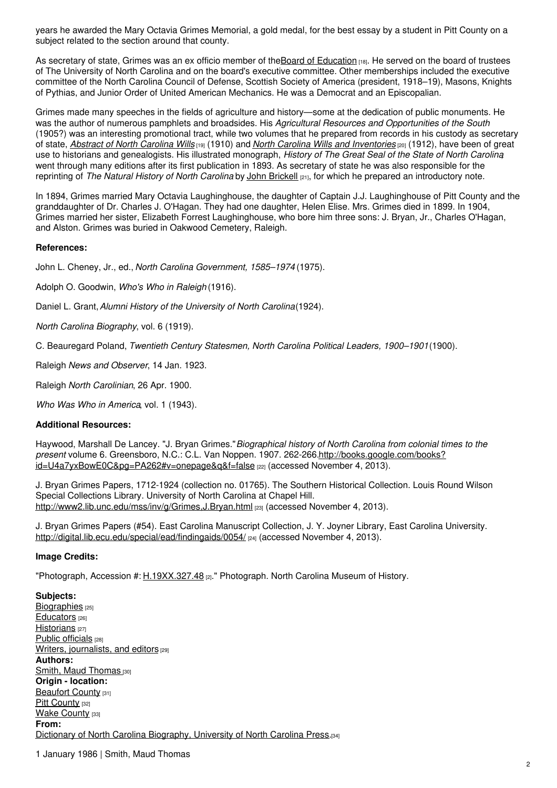years he awarded the Mary Octavia Grimes Memorial, a gold medal, for the best essay by a student in Pitt County on a subject related to the section around that county.

As secretary of state, Grimes was an ex officio member of theBoard of [Education](https://ncpedia.org/education-state-board) [18]. He served on the board of trustees of The University of North Carolina and on the board's executive committee. Other memberships included the executive committee of the North Carolina Council of Defense, Scottish Society of America (president, 1918–19), Masons, Knights of Pythias, and Junior Order of United American Mechanics. He was a Democrat and an Episcopalian.

Grimes made many speeches in the fields of agriculture and history—some at the dedication of public monuments. He was the author of numerous pamphlets and broadsides. His *Agricultural Resources and Opportunities of the South* (1905?) was an interesting promotional tract, while two volumes that he prepared from records in his custody as secretary of state, *Abstract of North [Carolina](http://digital.ncdcr.gov/cdm/ref/collection/p249901coll22/id/334363) Wills* [19] (1910) and *North Carolina Wills and [Inventories](http://digital.ncdcr.gov/cdm/ref/collection/p249901coll22/id/329753)* [20] (1912), have been of great use to historians and genealogists. His illustrated monograph, *History of The Great Seal of the State of North Carolina*, went through many editions after its first publication in 1893. As secretary of state he was also responsible for the reprinting of *The Natural History of North Carolina* by John [Brickell](https://ncpedia.org/biography/brickell-john) [21], for which he prepared an introductory note.

In 1894, Grimes married Mary Octavia Laughinghouse, the daughter of Captain J.J. Laughinghouse of Pitt County and the granddaughter of Dr. Charles J. O'Hagan. They had one daughter, Helen Elise. Mrs. Grimes died in 1899. In 1904, Grimes married her sister, Elizabeth Forrest Laughinghouse, who bore him three sons: J. Bryan, Jr., Charles O'Hagan, and Alston. Grimes was buried in Oakwood Cemetery, Raleigh.

## **References:**

John L. Cheney, Jr., ed., *North Carolina Government, 1585–1974* (1975).

Adolph O. Goodwin, *Who's Who in Raleigh* (1916).

Daniel L. Grant,*Alumni History of the University of North Carolina*(1924).

*North Carolina Biography*, vol. 6 (1919).

C. Beauregard Poland, *Twentieth Century Statesmen, North Carolina Political Leaders, 1900–1901*(1900).

Raleigh *News and Observer*, 14 Jan. 1923.

Raleigh *North Carolinian*, 26 Apr. 1900.

*Who Was Who in America*, vol. 1 (1943).

### **Additional Resources:**

Haywood, Marshall De Lancey. "J. Bryan Grimes."*Biographical history of North Carolina from colonial times to the present* volume 6. Greensboro, N.C.: C.L. Van Noppen. 1907. 262-266.http://books.google.com/books? [id=U4a7yxBowE0C&pg=PA262#v=onepage&q&f=false](http://books.google.com/books?id=U4a7yxBowE0C&pg=PA262#v=onepage&q&f=false) [22] (accessed November 4, 2013).

J. Bryan Grimes Papers, 1712-1924 (collection no. 01765). The Southern Historical Collection. Louis Round Wilson Special Collections Library. University of North Carolina at Chapel Hill. <http://www2.lib.unc.edu/mss/inv/g/Grimes,J.Bryan.html> [23] (accessed November 4, 2013).

J. Bryan Grimes Papers (#54). East Carolina Manuscript Collection, J. Y. Joyner Library, East Carolina University. <http://digital.lib.ecu.edu/special/ead/findingaids/0054/> [24] (accessed November 4, 2013).

### **Image Credits:**

"Photograph, Accession #: [H.19XX.327.48](http://collections.ncdcr.gov/RediscoveryProficioPublicSearch/ShowItem.aspx?37300+) [2]." Photograph. North Carolina Museum of History.

**Subjects:** [Biographies](https://ncpedia.org/category/subjects/biography-term) [25] [Educators](https://ncpedia.org/category/subjects/educators) [26] [Historians](https://ncpedia.org/category/subjects/historians) [27] Public [officials](https://ncpedia.org/category/subjects/public-officials) [28] Writers, [journalists,](https://ncpedia.org/category/subjects/writer) and editors [29] **Authors:** Smith, Maud [Thomas](https://ncpedia.org/category/authors/smith-maud-thomas) [30] **Origin - location:** [Beaufort](https://ncpedia.org/category/origin-location/coastal-22) County [31] Pitt [County](https://ncpedia.org/category/origin-location/coastal-21) [32] Wake [County](https://ncpedia.org/category/origin-location/piedmont/w) [33] **From:** Dictionary of North Carolina [Biography,](https://ncpedia.org/category/entry-source/dictionary-no) University of North Carolina Press.[34]

1 January 1986 | Smith, Maud Thomas